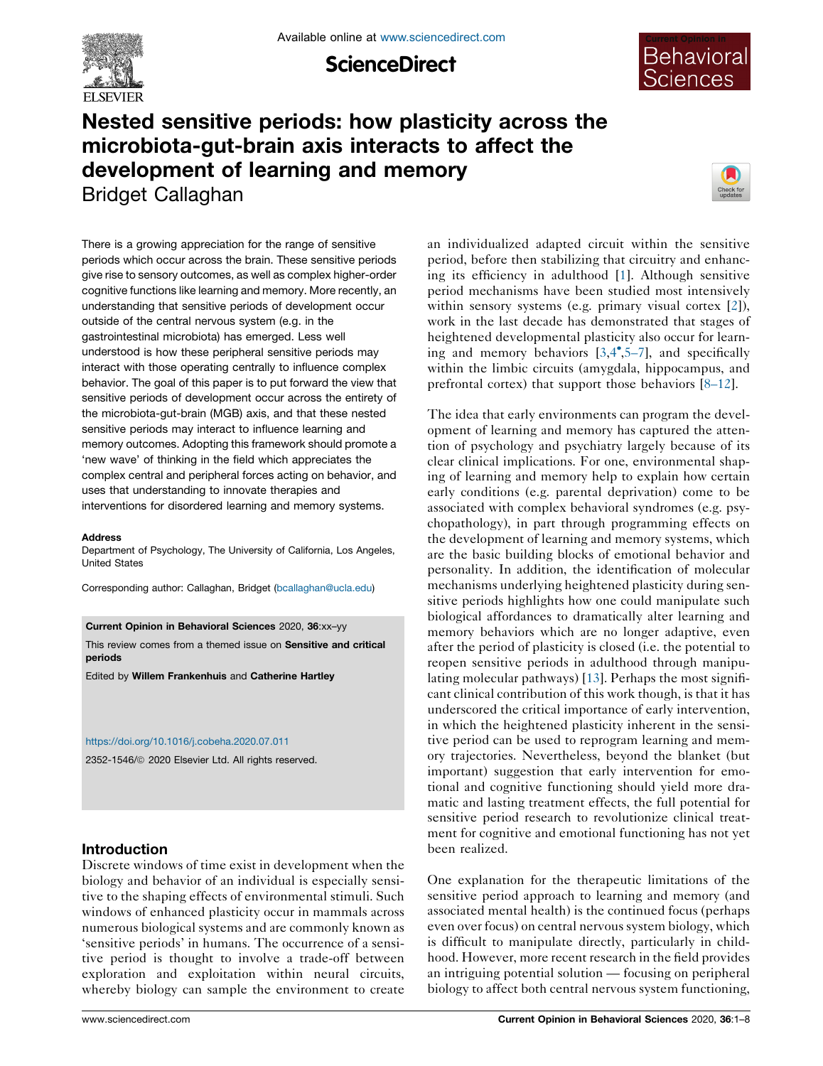

**ScienceDirect** 



# Nested sensitive periods: how plasticity across the microbiota-gut-brain axis interacts to affect the development of learning and memory Bridget Callaghan



There is a growing appreciation for the range of sensitive periods which occur across the brain. These sensitive periods give rise to sensory outcomes, as well as complex higher-order cognitive functions like learning and memory. More recently, an understanding that sensitive periods of development occur outside of the central nervous system (e.g. in the gastrointestinal microbiota) has emerged. Less well understood is how these peripheral sensitive periods may interact with those operating centrally to influence complex behavior. The goal of this paper is to put forward the view that sensitive periods of development occur across the entirety of the microbiota-gut-brain (MGB) axis, and that these nested sensitive periods may interact to influence learning and memory outcomes. Adopting this framework should promote a 'new wave' of thinking in the field which appreciates the complex central and peripheral forces acting on behavior, and uses that understanding to innovate therapies and interventions for disordered learning and memory systems.

#### **Address**

Department of Psychology, The University of California, Los Angeles, United States

Corresponding author: Callaghan, Bridget ([bcallaghan@ucla.edu](mailto:bcallaghan@ucla.edu))

Current Opinion in Behavioral Sciences 2020, 36:xx–yy

This review comes from a themed issue on Sensitive and critical periods

Edited by Willem Frankenhuis and Catherine Hartley

#### <https://doi.org/10.1016/j.cobeha.2020.07.011>

2352-1546/ã 2020 Elsevier Ltd. All rights reserved.

#### Introduction

Discrete windows of time exist in development when the biology and behavior of an individual is especially sensitive to the shaping effects of environmental stimuli. Such windows of enhanced plasticity occur in mammals across numerous biological systems and are commonly known as 'sensitive periods' in humans. The occurrence of a sensitive period is thought to involve a trade-off between exploration and exploitation within neural circuits, whereby biology can sample the environment to create an individualized adapted circuit within the sensitive period, before then stabilizing that circuitry and enhancing its efficiency in adulthood [\[1](#page-5-0)]. Although sensitive period mechanisms have been studied most intensively within sensory systems (e.g. primary visual cortex [\[2](#page-5-0)]), work in the last decade has demonstrated that stages of heightened developmental plasticity also occur for learning and memory behaviors  $[3,4^{\bullet},5-7]$  $[3,4^{\bullet},5-7]$  $[3,4^{\bullet},5-7]$ , and specifically within the limbic circuits (amygdala, hippocampus, and prefrontal cortex) that support those behaviors [\[8–12](#page-5-0)].

The idea that early environments can program the development of learning and memory has captured the attention of psychology and psychiatry largely because of its clear clinical implications. For one, environmental shaping of learning and memory help to explain how certain early conditions (e.g. parental deprivation) come to be associated with complex behavioral syndromes (e.g. psychopathology), in part through programming effects on the development of learning and memory systems, which are the basic building blocks of emotional behavior and personality. In addition, the identification of molecular mechanisms underlying heightened plasticity during sensitive periods highlights how one could manipulate such biological affordances to dramatically alter learning and memory behaviors which are no longer adaptive, even after the period of plasticity is closed (i.e. the potential to reopen sensitive periods in adulthood through manipulating molecular pathways) [[13\]](#page-6-0). Perhaps the most significant clinical contribution of this work though, is that it has underscored the critical importance of early intervention, in which the heightened plasticity inherent in the sensitive period can be used to reprogram learning and memory trajectories. Nevertheless, beyond the blanket (but important) suggestion that early intervention for emotional and cognitive functioning should yield more dramatic and lasting treatment effects, the full potential for sensitive period research to revolutionize clinical treatment for cognitive and emotional functioning has not yet been realized.

One explanation for the therapeutic limitations of the sensitive period approach to learning and memory (and associated mental health) is the continued focus (perhaps even over focus) on central nervous system biology, which is difficult to manipulate directly, particularly in childhood. However, more recent research in the field provides an intriguing potential solution — focusing on peripheral biology to affect both central nervous system functioning,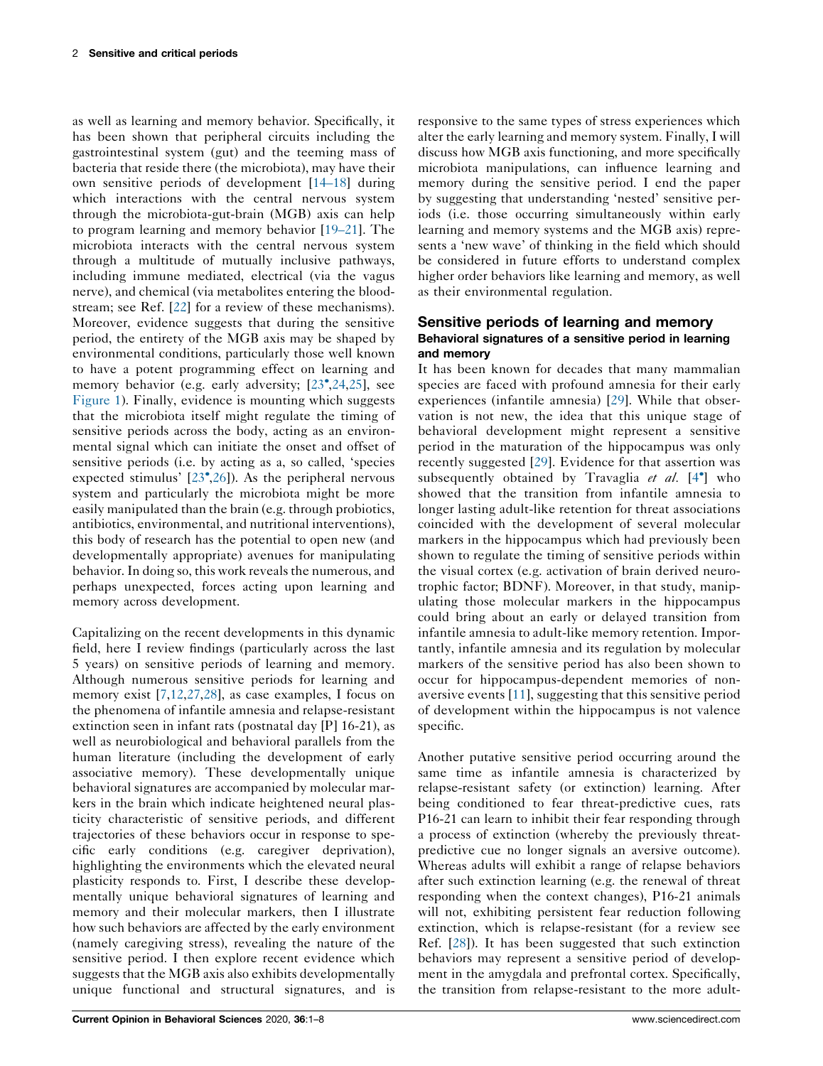as well as learning and memory behavior. Specifically, it has been shown that peripheral circuits including the gastrointestinal system (gut) and the teeming mass of bacteria that reside there (the microbiota), may have their own sensitive periods of development [[14–18\]](#page-6-0) during which interactions with the central nervous system through the microbiota-gut-brain (MGB) axis can help to program learning and memory behavior [[19–21\]](#page-6-0). The microbiota interacts with the central nervous system through a multitude of mutually inclusive pathways, including immune mediated, electrical (via the vagus nerve), and chemical (via metabolites entering the bloodstream; see Ref. [\[22](#page-6-0)] for a review of these mechanisms). Moreover, evidence suggests that during the sensitive period, the entirety of the MGB axis may be shaped by environmental conditions, particularly those well known to have a potent programming effect on learning and memory behavior (e.g. early adversity; [[23](#page-6-0),[,24](#page-6-0),[25\]](#page-6-0), see [Figure](#page-2-0) 1). Finally, evidence is mounting which suggests that the microbiota itself might regulate the timing of sensitive periods across the body, acting as an environmental signal which can initiate the onset and offset of sensitive periods (i.e. by acting as a, so called, 'species expected stimulus' [[23](#page-6-0) [,26](#page-6-0)]). As the peripheral nervous system and particularly the microbiota might be more easily manipulated than the brain (e.g. through probiotics, antibiotics, environmental, and nutritional interventions), this body of research has the potential to open new (and developmentally appropriate) avenues for manipulating behavior. In doing so, this work reveals the numerous, and perhaps unexpected, forces acting upon learning and memory across development.

Capitalizing on the recent developments in this dynamic field, here I review findings (particularly across the last 5 years) on sensitive periods of learning and memory. Although numerous sensitive periods for learning and memory exist [\[7](#page-5-0),[12,27](#page-6-0),[28\]](#page-6-0), as case examples, I focus on the phenomena of infantile amnesia and relapse-resistant extinction seen in infant rats (postnatal day [P] 16-21), as well as neurobiological and behavioral parallels from the human literature (including the development of early associative memory). These developmentally unique behavioral signatures are accompanied by molecular markers in the brain which indicate heightened neural plasticity characteristic of sensitive periods, and different trajectories of these behaviors occur in response to specific early conditions (e.g. caregiver deprivation), highlighting the environments which the elevated neural plasticity responds to. First, I describe these developmentally unique behavioral signatures of learning and memory and their molecular markers, then I illustrate how such behaviors are affected by the early environment (namely caregiving stress), revealing the nature of the sensitive period. I then explore recent evidence which suggests that the MGB axis also exhibits developmentally unique functional and structural signatures, and is

responsive to the same types of stress experiences which alter the early learning and memory system. Finally, I will discuss how MGB axis functioning, and more specifically microbiota manipulations, can influence learning and memory during the sensitive period. I end the paper by suggesting that understanding 'nested' sensitive periods (i.e. those occurring simultaneously within early learning and memory systems and the MGB axis) represents a 'new wave' of thinking in the field which should be considered in future efforts to understand complex higher order behaviors like learning and memory, as well as their environmental regulation.

### Sensitive periods of learning and memory Behavioral signatures of a sensitive period in learning and memory

It has been known for decades that many mammalian species are faced with profound amnesia for their early experiences (infantile amnesia) [[29\]](#page-6-0). While that observation is not new, the idea that this unique stage of behavioral development might represent a sensitive period in the maturation of the hippocampus was only recently suggested [[29\]](#page-6-0). Evidence for that assertion was subsequently obtained by Travaglia et al. [\[4](#page-5-0)<sup>\*</sup>] who showed that the transition from infantile amnesia to longer lasting adult-like retention for threat associations coincided with the development of several molecular markers in the hippocampus which had previously been shown to regulate the timing of sensitive periods within the visual cortex (e.g. activation of brain derived neurotrophic factor; BDNF). Moreover, in that study, manipulating those molecular markers in the hippocampus could bring about an early or delayed transition from infantile amnesia to adult-like memory retention. Importantly, infantile amnesia and its regulation by molecular markers of the sensitive period has also been shown to occur for hippocampus-dependent memories of nonaversive events [[11\]](#page-6-0), suggesting that this sensitive period of development within the hippocampus is not valence specific.

Another putative sensitive period occurring around the same time as infantile amnesia is characterized by relapse-resistant safety (or extinction) learning. After being conditioned to fear threat-predictive cues, rats P16-21 can learn to inhibit their fear responding through a process of extinction (whereby the previously threatpredictive cue no longer signals an aversive outcome). Whereas adults will exhibit a range of relapse behaviors after such extinction learning (e.g. the renewal of threat responding when the context changes), P16-21 animals will not, exhibiting persistent fear reduction following extinction, which is relapse-resistant (for a review see Ref. [\[28](#page-6-0)]). It has been suggested that such extinction behaviors may represent a sensitive period of development in the amygdala and prefrontal cortex. Specifically, the transition from relapse-resistant to the more adult-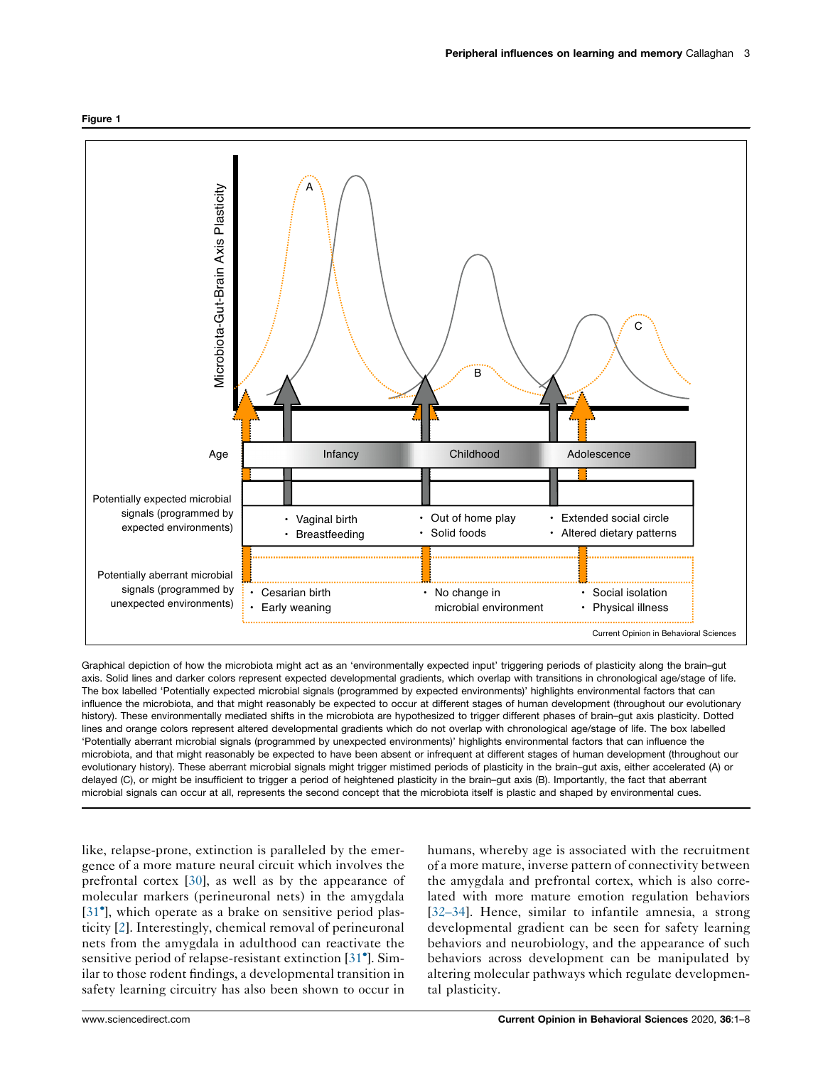<span id="page-2-0"></span>



Graphical depiction of how the microbiota might act as an 'environmentally expected input' triggering periods of plasticity along the brain–gut axis. Solid lines and darker colors represent expected developmental gradients, which overlap with transitions in chronological age/stage of life. The box labelled 'Potentially expected microbial signals (programmed by expected environments)' highlights environmental factors that can influence the microbiota, and that might reasonably be expected to occur at different stages of human development (throughout our evolutionary history). These environmentally mediated shifts in the microbiota are hypothesized to trigger different phases of brain–gut axis plasticity. Dotted lines and orange colors represent altered developmental gradients which do not overlap with chronological age/stage of life. The box labelled 'Potentially aberrant microbial signals (programmed by unexpected environments)' highlights environmental factors that can influence the microbiota, and that might reasonably be expected to have been absent or infrequent at different stages of human development (throughout our evolutionary history). These aberrant microbial signals might trigger mistimed periods of plasticity in the brain–gut axis, either accelerated (A) or delayed (C), or might be insufficient to trigger a period of heightened plasticity in the brain–gut axis (B). Importantly, the fact that aberrant microbial signals can occur at all, represents the second concept that the microbiota itself is plastic and shaped by environmental cues.

like, relapse-prone, extinction is paralleled by the emergence of a more mature neural circuit which involves the prefrontal cortex [[30\]](#page-6-0), as well as by the appearance of molecular markers (perineuronal nets) in the amygdala [\[31](#page-6-0)<sup>°</sup>], which operate as a brake on sensitive period plasticity [\[2](#page-5-0)]. Interestingly, chemical removal of perineuronal nets from the amygdala in adulthood can reactivate the sensitive period of relapse-resistant extinction [[31](#page-6-0) ]. Similar to those rodent findings, a developmental transition in safety learning circuitry has also been shown to occur in

humans, whereby age is associated with the recruitment of a more mature, inverse pattern of connectivity between the amygdala and prefrontal cortex, which is also correlated with more mature emotion regulation behaviors [[32–34](#page-6-0)]. Hence, similar to infantile amnesia, a strong developmental gradient can be seen for safety learning behaviors and neurobiology, and the appearance of such behaviors across development can be manipulated by altering molecular pathways which regulate developmental plasticity.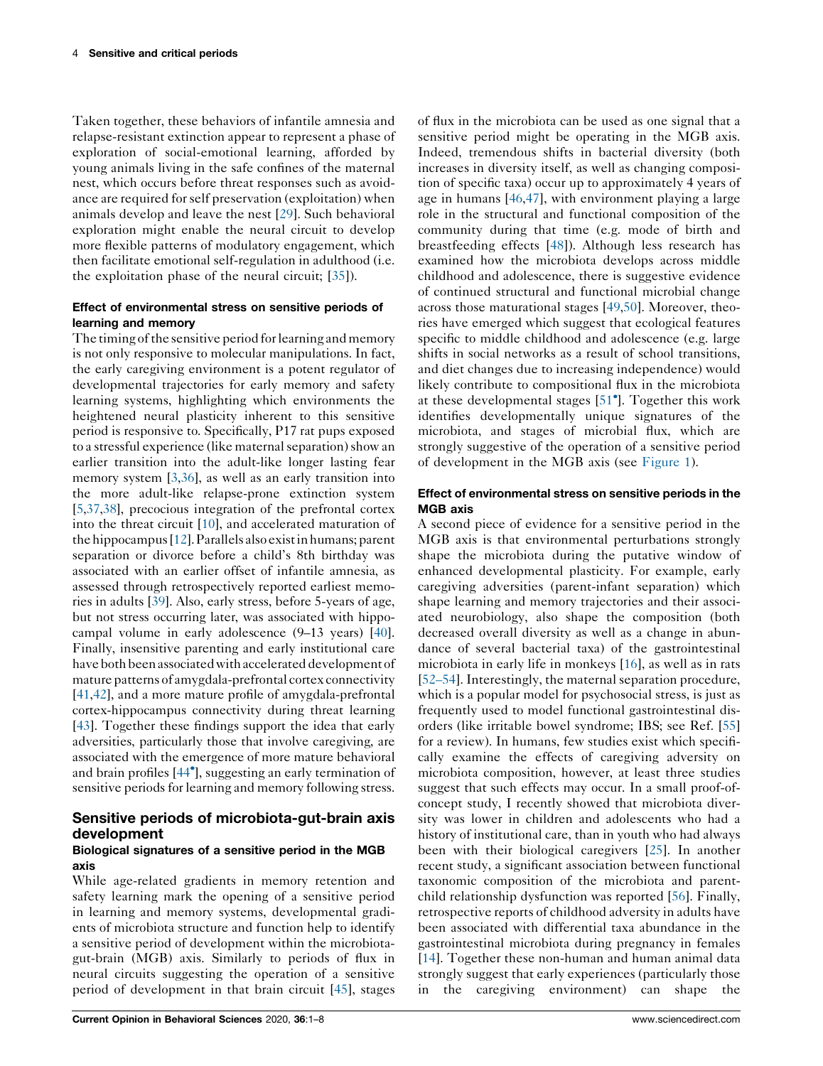Taken together, these behaviors of infantile amnesia and relapse-resistant extinction appear to represent a phase of exploration of social-emotional learning, afforded by young animals living in the safe confines of the maternal nest, which occurs before threat responses such as avoidance are required forself preservation (exploitation) when animals develop and leave the nest [\[29](#page-6-0)]. Such behavioral exploration might enable the neural circuit to develop more flexible patterns of modulatory engagement, which then facilitate emotional self-regulation in adulthood (i.e. the exploitation phase of the neural circuit; [\[35](#page-6-0)]).

#### Effect of environmental stress on sensitive periods of learning and memory

The timing of the sensitive period for learning and memory is not only responsive to molecular manipulations. In fact, the early caregiving environment is a potent regulator of developmental trajectories for early memory and safety learning systems, highlighting which environments the heightened neural plasticity inherent to this sensitive period is responsive to. Specifically, P17 rat pups exposed to a stressful experience (like maternalseparation)show an earlier transition into the adult-like longer lasting fear memory system [\[3](#page-5-0),[36\]](#page-6-0), as well as an early transition into the more adult-like relapse-prone extinction system [\[5](#page-5-0),[37](#page-6-0),[38\]](#page-6-0), precocious integration of the prefrontal cortex into the threat circuit [\[10](#page-5-0)], and accelerated maturation of the hippocampus [\[12](#page-6-0)]. Parallels also exist in humans; parent separation or divorce before a child's 8th birthday was associated with an earlier offset of infantile amnesia, as assessed through retrospectively reported earliest memories in adults [\[39\]](#page-6-0). Also, early stress, before 5-years of age, but not stress occurring later, was associated with hippocampal volume in early adolescence (9–13 years) [\[40](#page-6-0)]. Finally, insensitive parenting and early institutional care have both been associated with accelerated development of mature patterns of amygdala-prefrontal cortex connectivity [\[41,42](#page-6-0)], and a more mature profile of amygdala-prefrontal cortex-hippocampus connectivity during threat learning [\[43](#page-6-0)]. Together these findings support the idea that early adversities, particularly those that involve caregiving, are associated with the emergence of more mature behavioral and brain profiles [[44](#page-6-0) ], suggesting an early termination of sensitive periods for learning and memory following stress.

# Sensitive periods of microbiota-gut-brain axis development

#### Biological signatures of a sensitive period in the MGB axis

While age-related gradients in memory retention and safety learning mark the opening of a sensitive period in learning and memory systems, developmental gradients of microbiota structure and function help to identify a sensitive period of development within the microbiotagut-brain (MGB) axis. Similarly to periods of flux in neural circuits suggesting the operation of a sensitive period of development in that brain circuit [[45\]](#page-7-0), stages

of flux in the microbiota can be used as one signal that a sensitive period might be operating in the MGB axis. Indeed, tremendous shifts in bacterial diversity (both increases in diversity itself, as well as changing composition of specific taxa) occur up to approximately 4 years of age in humans [\[46](#page-7-0),[47\]](#page-7-0), with environment playing a large role in the structural and functional composition of the community during that time (e.g. mode of birth and breastfeeding effects [[48\]](#page-7-0)). Although less research has examined how the microbiota develops across middle childhood and adolescence, there is suggestive evidence of continued structural and functional microbial change across those maturational stages [[49,50](#page-7-0)]. Moreover, theories have emerged which suggest that ecological features specific to middle childhood and adolescence (e.g. large shifts in social networks as a result of school transitions, and diet changes due to increasing independence) would likely contribute to compositional flux in the microbiota at these developmental stages [\[51](#page-7-0) ]. Together this work identifies developmentally unique signatures of the microbiota, and stages of microbial flux, which are strongly suggestive of the operation of a sensitive period of development in the MGB axis (see [Figure](#page-2-0) 1).

### Effect of environmental stress on sensitive periods in the MGB axis

A second piece of evidence for a sensitive period in the MGB axis is that environmental perturbations strongly shape the microbiota during the putative window of enhanced developmental plasticity. For example, early caregiving adversities (parent-infant separation) which shape learning and memory trajectories and their associated neurobiology, also shape the composition (both decreased overall diversity as well as a change in abundance of several bacterial taxa) of the gastrointestinal microbiota in early life in monkeys [[16\]](#page-6-0), as well as in rats [\[52–54](#page-7-0)]. Interestingly, the maternal separation procedure, which is a popular model for psychosocial stress, is just as frequently used to model functional gastrointestinal disorders (like irritable bowel syndrome; IBS; see Ref. [\[55\]](#page-7-0) for a review). In humans, few studies exist which specifically examine the effects of caregiving adversity on microbiota composition, however, at least three studies suggest that such effects may occur. In a small proof-ofconcept study, I recently showed that microbiota diversity was lower in children and adolescents who had a history of institutional care, than in youth who had always been with their biological caregivers [\[25](#page-6-0)]. In another recent study, a significant association between functional taxonomic composition of the microbiota and parentchild relationship dysfunction was reported [\[56](#page-7-0)]. Finally, retrospective reports of childhood adversity in adults have been associated with differential taxa abundance in the gastrointestinal microbiota during pregnancy in females [\[14](#page-6-0)]. Together these non-human and human animal data strongly suggest that early experiences (particularly those in the caregiving environment) can shape the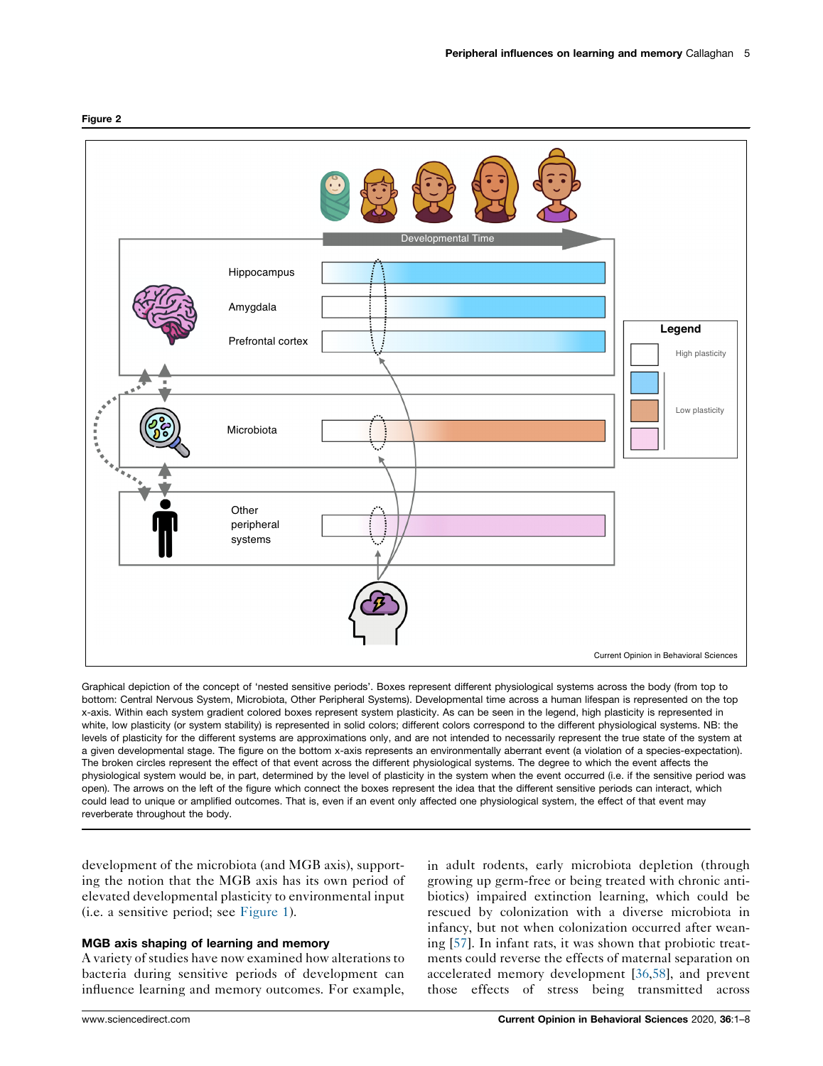

Graphical depiction of the concept of 'nested sensitive periods'. Boxes represent different physiological systems across the body (from top to bottom: Central Nervous System, Microbiota, Other Peripheral Systems). Developmental time across a human lifespan is represented on the top x-axis. Within each system gradient colored boxes represent system plasticity. As can be seen in the legend, high plasticity is represented in white, low plasticity (or system stability) is represented in solid colors; different colors correspond to the different physiological systems. NB: the levels of plasticity for the different systems are approximations only, and are not intended to necessarily represent the true state of the system at a given developmental stage. The figure on the bottom x-axis represents an environmentally aberrant event (a violation of a species-expectation). The broken circles represent the effect of that event across the different physiological systems. The degree to which the event affects the physiological system would be, in part, determined by the level of plasticity in the system when the event occurred (i.e. if the sensitive period was open). The arrows on the left of the figure which connect the boxes represent the idea that the different sensitive periods can interact, which could lead to unique or amplified outcomes. That is, even if an event only affected one physiological system, the effect of that event may reverberate throughout the body.

development of the microbiota (and MGB axis), supporting the notion that the MGB axis has its own period of elevated developmental plasticity to environmental input (i.e. a sensitive period; see [Figure](#page-2-0) 1).

#### MGB axis shaping of learning and memory

A variety of studies have now examined how alterations to bacteria during sensitive periods of development can influence learning and memory outcomes. For example, in adult rodents, early microbiota depletion (through growing up germ-free or being treated with chronic antibiotics) impaired extinction learning, which could be rescued by colonization with a diverse microbiota in infancy, but not when colonization occurred after weaning [[57\]](#page-7-0). In infant rats, it was shown that probiotic treatments could reverse the effects of maternal separation on accelerated memory development [\[36](#page-6-0),[58\]](#page-7-0), and prevent those effects of stress being transmitted across

#### <span id="page-4-0"></span>Figure 2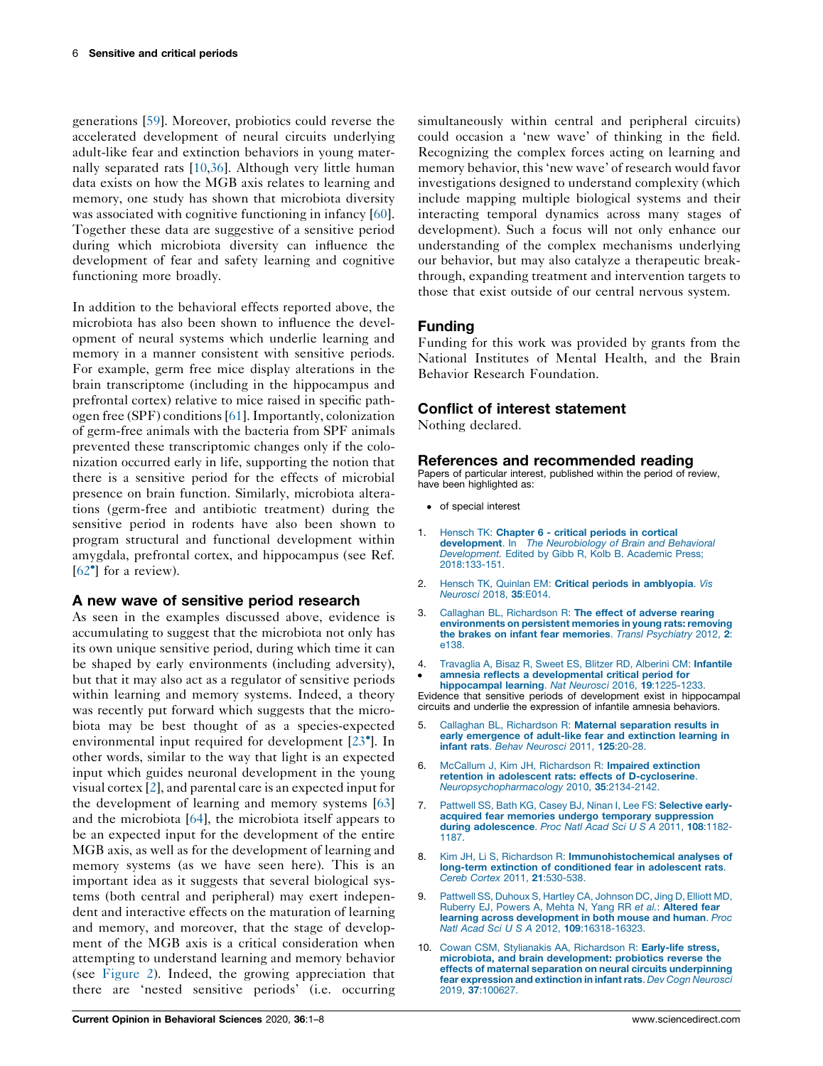<span id="page-5-0"></span>generations [\[59](#page-7-0)]. Moreover, probiotics could reverse the accelerated development of neural circuits underlying adult-like fear and extinction behaviors in young maternally separated rats [10,[36\]](#page-6-0). Although very little human data exists on how the MGB axis relates to learning and memory, one study has shown that microbiota diversity was associated with cognitive functioning in infancy [\[60](#page-7-0)]. Together these data are suggestive of a sensitive period during which microbiota diversity can influence the development of fear and safety learning and cognitive functioning more broadly.

In addition to the behavioral effects reported above, the microbiota has also been shown to influence the development of neural systems which underlie learning and memory in a manner consistent with sensitive periods. For example, germ free mice display alterations in the brain transcriptome (including in the hippocampus and prefrontal cortex) relative to mice raised in specific pathogen free (SPF) conditions[\[61](#page-7-0)].Importantly, colonization of germ-free animals with the bacteria from SPF animals prevented these transcriptomic changes only if the colonization occurred early in life, supporting the notion that there is a sensitive period for the effects of microbial presence on brain function. Similarly, microbiota alterations (germ-free and antibiotic treatment) during the sensitive period in rodents have also been shown to program structural and functional development within amygdala, prefrontal cortex, and hippocampus (see Ref. [\[62](#page-7-0)<sup>•</sup>] for a review).

## A new wave of sensitive period research

As seen in the examples discussed above, evidence is accumulating to suggest that the microbiota not only has its own unique sensitive period, during which time it can be shaped by early environments (including adversity), but that it may also act as a regulator of sensitive periods within learning and memory systems. Indeed, a theory was recently put forward which suggests that the microbiota may be best thought of as a species-expected environmental input required for development [\[23](#page-6-0) ]. In other words, similar to the way that light is an expected input which guides neuronal development in the young visual cortex [2], and parental care is an expected input for the development of learning and memory systems [[63\]](#page-7-0) and the microbiota [\[64](#page-7-0)], the microbiota itself appears to be an expected input for the development of the entire MGB axis, as well as for the development of learning and memory systems (as we have seen here). This is an important idea as it suggests that several biological systems (both central and peripheral) may exert independent and interactive effects on the maturation of learning and memory, and moreover, that the stage of development of the MGB axis is a critical consideration when attempting to understand learning and memory behavior (see [Figure](#page-4-0) 2). Indeed, the growing appreciation that there are 'nested sensitive periods' (i.e. occurring

simultaneously within central and peripheral circuits) could occasion a 'new wave' of thinking in the field. Recognizing the complex forces acting on learning and memory behavior, this 'new wave' of research would favor investigations designed to understand complexity (which include mapping multiple biological systems and their interacting temporal dynamics across many stages of development). Such a focus will not only enhance our understanding of the complex mechanisms underlying our behavior, but may also catalyze a therapeutic breakthrough, expanding treatment and intervention targets to those that exist outside of our central nervous system.

# Funding

Funding for this work was provided by grants from the National Institutes of Mental Health, and the Brain Behavior Research Foundation.

## Conflict of interest statement

Nothing declared.

#### References and recommended reading

Papers of particular interest, published within the period of review, have been highlighted as:

- of special interest
- 1. Hensch TK: [Chapter](http://refhub.elsevier.com/S2352-1546(20)30113-3/sbref0005) 6 critical periods in cortical [development](http://refhub.elsevier.com/S2352-1546(20)30113-3/sbref0005). In The Neurobiology of Brain and Behavioral [Development.](http://refhub.elsevier.com/S2352-1546(20)30113-3/sbref0005) Edited by Gibb R, Kolb B. Academic Press; [2018:133-151.](http://refhub.elsevier.com/S2352-1546(20)30113-3/sbref0005)
- 2. Hensch TK, Quinlan EM: Critical periods in [amblyopia](http://refhub.elsevier.com/S2352-1546(20)30113-3/sbref0010). Vis [Neurosci](http://refhub.elsevier.com/S2352-1546(20)30113-3/sbref0010) 2018, 35:E014.
- 3. Callaghan BL, [Richardson](http://refhub.elsevier.com/S2352-1546(20)30113-3/sbref0015) R: The effect of adverse rearing [environments](http://refhub.elsevier.com/S2352-1546(20)30113-3/sbref0015) on persistent memories in young rats: removing the brakes on infant fear [memories](http://refhub.elsevier.com/S2352-1546(20)30113-3/sbref0015). Transl Psychiatry 2012, 2: [e138.](http://refhub.elsevier.com/S2352-1546(20)30113-3/sbref0015)
- 4.  $\cdot$ [Travaglia](http://refhub.elsevier.com/S2352-1546(20)30113-3/sbref0020) A, Bisaz R, Sweet ES, Blitzer RD, Alberini CM: Infantile amnesia reflects a [developmental](http://refhub.elsevier.com/S2352-1546(20)30113-3/sbref0020) critical period for

[hippocampal](http://refhub.elsevier.com/S2352-1546(20)30113-3/sbref0020) learning. Nat Neurosci 2016, 19:1225-1233. Evidence that sensitive periods of development exist in hippocampal circuits and underlie the expression of infantile amnesia behaviors.

- 5. Callaghan BL, Richardson R: Maternal [separation](http://refhub.elsevier.com/S2352-1546(20)30113-3/sbref0025) results in early [emergence](http://refhub.elsevier.com/S2352-1546(20)30113-3/sbref0025) of adult-like fear and extinction learning in infant rats. Behav [Neurosci](http://refhub.elsevier.com/S2352-1546(20)30113-3/sbref0025) 2011, 125:20-28.
- 6. McCallum J, Kim JH, [Richardson](http://refhub.elsevier.com/S2352-1546(20)30113-3/sbref0030) R: Impaired extinction retention in adolescent rats: effects of [D-cycloserine](http://refhub.elsevier.com/S2352-1546(20)30113-3/sbref0030). [Neuropsychopharmacology](http://refhub.elsevier.com/S2352-1546(20)30113-3/sbref0030) 2010, 35:2134-2142.
- 7. Pattwell SS, Bath KG, Casey BJ, Ninan I, Lee FS: [Selective](http://refhub.elsevier.com/S2352-1546(20)30113-3/sbref0035) earlyacquired fear memories undergo temporary [suppression](http://refhub.elsevier.com/S2352-1546(20)30113-3/sbref0035) during [adolescence](http://refhub.elsevier.com/S2352-1546(20)30113-3/sbref0035). Proc Natl Acad Sci U S A 2011, 108:1182-[1187.](http://refhub.elsevier.com/S2352-1546(20)30113-3/sbref0035)
- 8. Kim JH, Li S, Richardson R: [Immunohistochemical](http://refhub.elsevier.com/S2352-1546(20)30113-3/sbref0040) analyses of long-term extinction of [conditioned](http://refhub.elsevier.com/S2352-1546(20)30113-3/sbref0040) fear in adolescent rats. Cereb Cortex 2011, 21[:530-538.](http://refhub.elsevier.com/S2352-1546(20)30113-3/sbref0040)
- 9. Pattwell SS, Duhoux S, Hartley CA, [Johnson](http://refhub.elsevier.com/S2352-1546(20)30113-3/sbref0045) DC, Jing D, Elliott MD, [Ruberry](http://refhub.elsevier.com/S2352-1546(20)30113-3/sbref0045) EJ, Powers A, Mehta N, Yang RR et al.: **Altered fear** learning across [development](http://refhub.elsevier.com/S2352-1546(20)30113-3/sbref0045) in both mouse and human. Proc Natl Acad Sci U S A 2012, 109[:16318-16323.](http://refhub.elsevier.com/S2352-1546(20)30113-3/sbref0045)
- 10. Cowan CSM, Stylianakis AA, [Richardson](http://refhub.elsevier.com/S2352-1546(20)30113-3/sbref0050) R: Early-life stress, microbiota, and brain [development:](http://refhub.elsevier.com/S2352-1546(20)30113-3/sbref0050) probiotics reverse the effects of maternal separation on neural circuits [underpinning](http://refhub.elsevier.com/S2352-1546(20)30113-3/sbref0050) fear [expression](http://refhub.elsevier.com/S2352-1546(20)30113-3/sbref0050) and extinction in infant rats. Dev Cogn Neurosci 2019, 37[:100627.](http://refhub.elsevier.com/S2352-1546(20)30113-3/sbref0050)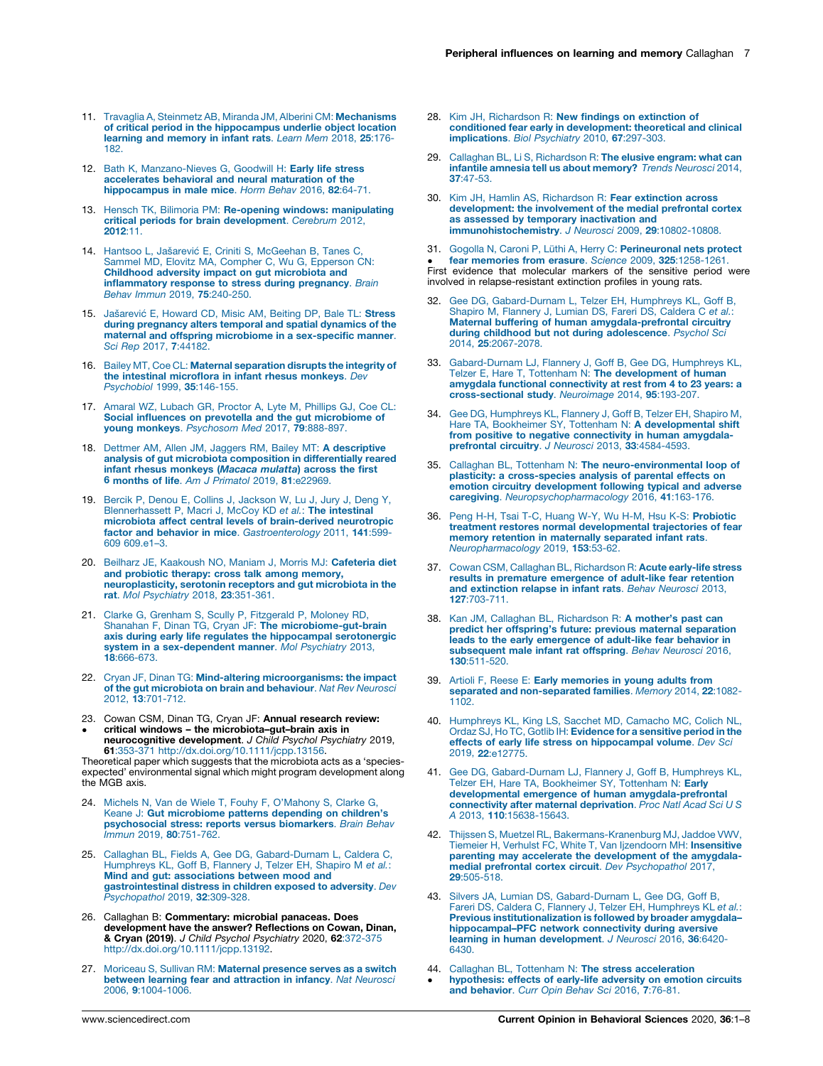- <span id="page-6-0"></span>11. Travaglia A, Steinmetz AB, Miranda JM, Alberini CM: [Mechanisms](http://refhub.elsevier.com/S2352-1546(20)30113-3/sbref0055) of critical period in the [hippocampus](http://refhub.elsevier.com/S2352-1546(20)30113-3/sbref0055) underlie object location learning and [memory](http://refhub.elsevier.com/S2352-1546(20)30113-3/sbref0055) in infant rats. Learn Mem 2018, 25:176- [182.](http://refhub.elsevier.com/S2352-1546(20)30113-3/sbref0055)
- 12. Bath K, [Manzano-Nieves](http://refhub.elsevier.com/S2352-1546(20)30113-3/sbref0060) G, Goodwill H: Early life stress [accelerates](http://refhub.elsevier.com/S2352-1546(20)30113-3/sbref0060) behavioral and neural maturation of the [hippocampus](http://refhub.elsevier.com/S2352-1546(20)30113-3/sbref0060) in male mice. Horm Behav 2016, 82:64-71.
- 13. Hensch TK, Bilimoria PM: Re-opening windows: [manipulating](http://refhub.elsevier.com/S2352-1546(20)30113-3/sbref0065) critical periods for brain [development](http://refhub.elsevier.com/S2352-1546(20)30113-3/sbref0065). Cerebrum 2012, [2012](http://refhub.elsevier.com/S2352-1546(20)30113-3/sbref0065):11.
- 14. Hantsoo L, Jašarević E, Criniti S, [McGeehan](http://refhub.elsevier.com/S2352-1546(20)30113-3/sbref0070) B, Tanes C, Sammel MD, Elovitz MA, Compher C, Wu G, [Epperson](http://refhub.elsevier.com/S2352-1546(20)30113-3/sbref0070) CN: Childhood adversity impact on gut [microbiota](http://refhub.elsevier.com/S2352-1546(20)30113-3/sbref0070) and [inflammatory](http://refhub.elsevier.com/S2352-1546(20)30113-3/sbref0070) response to stress during pregnancy. Brain Behav Immun 2019, 75[:240-250.](http://refhub.elsevier.com/S2352-1546(20)30113-3/sbref0070)
- 15. Jašarević E, [Howard](http://refhub.elsevier.com/S2352-1546(20)30113-3/sbref0075) CD, Misic AM, Beiting DP, Bale TL: Stress during [pregnancy](http://refhub.elsevier.com/S2352-1546(20)30113-3/sbref0075) alters temporal and spatial dynamics of the maternal and offspring microbiome in a [sex-specific](http://refhub.elsevier.com/S2352-1546(20)30113-3/sbref0075) manner. Sci Rep 2017, 7[:44182.](http://refhub.elsevier.com/S2352-1546(20)30113-3/sbref0075)
- 16. Bailey MT, Coe CL: Maternal [separation](http://refhub.elsevier.com/S2352-1546(20)30113-3/sbref0080) disrupts the integrity of the intestinal [microflora](http://refhub.elsevier.com/S2352-1546(20)30113-3/sbref0080) in infant rhesus monkeys. Dev [Psychobiol](http://refhub.elsevier.com/S2352-1546(20)30113-3/sbref0080) 1999, 35:146-155.
- 17. Amaral WZ, [Lubach](http://refhub.elsevier.com/S2352-1546(20)30113-3/sbref0085) GR, Proctor A, Lyte M, Phillips GJ, Coe CL: Social influences on prevotella and the gut [microbiome](http://refhub.elsevier.com/S2352-1546(20)30113-3/sbref0085) of young monkeys. [Psychosom](http://refhub.elsevier.com/S2352-1546(20)30113-3/sbref0085) Med 2017, 79:888-897.
- 18. Dettmer AM, Allen JM, Jaggers RM, Bailey MT: A [descriptive](http://refhub.elsevier.com/S2352-1546(20)30113-3/sbref0090) analysis of gut microbiota [composition](http://refhub.elsevier.com/S2352-1546(20)30113-3/sbref0090) in differentially reared infant rhesus [monkeys](http://refhub.elsevier.com/S2352-1546(20)30113-3/sbref0090) (Macaca mulatta) across the first 6 months of life. Am J Primatol 2019, 81[:e22969.](http://refhub.elsevier.com/S2352-1546(20)30113-3/sbref0090)
- 19. Bercik P, Denou E, Collins J, [Jackson](http://refhub.elsevier.com/S2352-1546(20)30113-3/sbref0095) W, Lu J, Jury J, Deng Y, [Blennerhassett](http://refhub.elsevier.com/S2352-1546(20)30113-3/sbref0095) P, Macri J, McCoy KD et al.: The intestinal microbiota affect central levels of [brain-derived](http://refhub.elsevier.com/S2352-1546(20)30113-3/sbref0095) neurotropic factor and behavior in mice. [Gastroenterology](http://refhub.elsevier.com/S2352-1546(20)30113-3/sbref0095) 2011, 141:599- 609 [609.e1–3.](http://refhub.elsevier.com/S2352-1546(20)30113-3/sbref0095)
- 20. Beilharz JE, [Kaakoush](http://refhub.elsevier.com/S2352-1546(20)30113-3/sbref0100) NO, Maniam J, Morris MJ: Cafeteria diet and [probiotic](http://refhub.elsevier.com/S2352-1546(20)30113-3/sbref0100) therapy: cross talk among memory, [neuroplasticity,](http://refhub.elsevier.com/S2352-1546(20)30113-3/sbref0100) serotonin receptors and gut microbiota in the rat. Mol [Psychiatry](http://refhub.elsevier.com/S2352-1546(20)30113-3/sbref0100) 2018, 23:351-361.
- 21. Clarke G, Grenham S, Scully P, [Fitzgerald](http://refhub.elsevier.com/S2352-1546(20)30113-3/sbref0105) P, Moloney RD, Shanahan F, Dinan TG, Cryan JF: The [microbiome-gut-brain](http://refhub.elsevier.com/S2352-1546(20)30113-3/sbref0105) axis during early life regulates the [hippocampal](http://refhub.elsevier.com/S2352-1546(20)30113-3/sbref0105) serotonergic system in a [sex-dependent](http://refhub.elsevier.com/S2352-1546(20)30113-3/sbref0105) manner. Mol Psychiatry 2013, 18[:666-673.](http://refhub.elsevier.com/S2352-1546(20)30113-3/sbref0105)
- 22. Cryan JF, Dinan TG: Mind-altering [microorganisms:](http://refhub.elsevier.com/S2352-1546(20)30113-3/sbref0110) the impact of the gut [microbiota](http://refhub.elsevier.com/S2352-1546(20)30113-3/sbref0110) on brain and behaviour. Nat Rev Neurosci 2012, 13[:701-712.](http://refhub.elsevier.com/S2352-1546(20)30113-3/sbref0110)
- 23. Cowan CSM, Dinan TG, Cryan JF: Annual research review:
- $\bullet$ critical windows – the microbiota–gut–brain axis in **neurocognitive development**. *J Child Psychol Psychiatry* 2019,<br>**61**:353-371 <http://dx.doi.org/10.1111/jcpp.13156>.

Theoretical paper which suggests that the microbiota acts as a 'speciesexpected' environmental signal which might program development along the MGB axis.

- 24. Michels N, Van de Wiele T, Fouhy F, [O'Mahony](http://refhub.elsevier.com/S2352-1546(20)30113-3/sbref0120) S, Clarke G, Keane J: Gut [microbiome](http://refhub.elsevier.com/S2352-1546(20)30113-3/sbref0120) patterns depending on children's [psychosocial](http://refhub.elsevier.com/S2352-1546(20)30113-3/sbref0120) stress: reports versus biomarkers. Brain Behav Immun 2019, 80[:751-762.](http://refhub.elsevier.com/S2352-1546(20)30113-3/sbref0120)
- 25. Callaghan BL, Fields A, Gee DG, [Gabard-Durnam](http://refhub.elsevier.com/S2352-1546(20)30113-3/sbref0125) L, Caldera C, [Humphreys](http://refhub.elsevier.com/S2352-1546(20)30113-3/sbref0125) KL, Goff B, Flannery J, Telzer EH, Shapiro M et al.: Mind and gut: [associations](http://refhub.elsevier.com/S2352-1546(20)30113-3/sbref0125) between mood and [gastrointestinal](http://refhub.elsevier.com/S2352-1546(20)30113-3/sbref0125) distress in children exposed to adversity. Dev [Psychopathol](http://refhub.elsevier.com/S2352-1546(20)30113-3/sbref0125) 2019, 32:309-328.
- 26. Callaghan B: Commentary: microbial panaceas. Does development have the answer? Reflections on Cowan, Dinan, **& Cryan (2019).** J Child Psychol Psychiatry 2020, **62**:372-375<br>[http://dx.doi.org/10.1111/jcpp.13192.](http://dx.doi.org/10.1111/jcpp.13192)
- 27. Moriceau S, Sullivan RM: Maternal [presence](http://refhub.elsevier.com/S2352-1546(20)30113-3/sbref0135) serves as a switch between learning fear and [attraction](http://refhub.elsevier.com/S2352-1546(20)30113-3/sbref0135) in infancy. Nat Neurosci 2006, 9[:1004-1006.](http://refhub.elsevier.com/S2352-1546(20)30113-3/sbref0135)
- 28. Kim JH, [Richardson](http://refhub.elsevier.com/S2352-1546(20)30113-3/sbref0140) R: New findings on extinction of conditioned fear early in [development:](http://refhub.elsevier.com/S2352-1546(20)30113-3/sbref0140) theoretical and clinical [implications](http://refhub.elsevier.com/S2352-1546(20)30113-3/sbref0140). Biol Psychiatry 2010, 67:297-303.
- 29. Callaghan BL, Li S, [Richardson](http://refhub.elsevier.com/S2352-1546(20)30113-3/sbref0145) R: The elusive engram: what can infantile amnesia tell us about [memory?](http://refhub.elsevier.com/S2352-1546(20)30113-3/sbref0145) Trends Neurosci 2014, 37[:47-53.](http://refhub.elsevier.com/S2352-1546(20)30113-3/sbref0145)
- 30. Kim JH, Hamlin AS, [Richardson](http://refhub.elsevier.com/S2352-1546(20)30113-3/sbref0150) R: Fear extinction across [development:](http://refhub.elsevier.com/S2352-1546(20)30113-3/sbref0150) the involvement of the medial prefrontal cortex as assessed by temporary [inactivation](http://refhub.elsevier.com/S2352-1546(20)30113-3/sbref0150) and [immunohistochemistry](http://refhub.elsevier.com/S2352-1546(20)30113-3/sbref0150). J Neurosci 2009, 29:10802-10808.
- 31. Gogolla N, Caroni P, Lüthi A, Herry C: [Perineuronal](http://refhub.elsevier.com/S2352-1546(20)30113-3/sbref0155) nets protect

• **Tear memories from erasure**. Science 2009, 325:1258-1261.<br>First evidence that molecular markers of the sensitive period were fear memories from erasure. Science 2009, 325[:1258-1261.](http://refhub.elsevier.com/S2352-1546(20)30113-3/sbref0155) involved in relapse-resistant extinction profiles in young rats.

- 32. Gee DG, [Gabard-Durnam](http://refhub.elsevier.com/S2352-1546(20)30113-3/sbref0160) L, Telzer EH, Humphreys KL, Goff B, Shapiro M, [Flannery](http://refhub.elsevier.com/S2352-1546(20)30113-3/sbref0160) J, Lumian DS, Fareri DS, Caldera C et al.: Maternal buffering of human [amygdala-prefrontal](http://refhub.elsevier.com/S2352-1546(20)30113-3/sbref0160) circuitry during childhood but not during [adolescence](http://refhub.elsevier.com/S2352-1546(20)30113-3/sbref0160). Psychol Sci 2014, 25[:2067-2078.](http://refhub.elsevier.com/S2352-1546(20)30113-3/sbref0160)
- 33. [Gabard-Durnam](http://refhub.elsevier.com/S2352-1546(20)30113-3/sbref0165) LJ, Flannery J, Goff B, Gee DG, Humphreys KL,<br>Telzer E, Hare T, Tottenham N: **The [development](http://refhub.elsevier.com/S2352-1546(20)30113-3/sbref0165) of human** amygdala functional [connectivity](http://refhub.elsevier.com/S2352-1546(20)30113-3/sbref0165) at rest from 4 to 23 years: a [cross-sectional](http://refhub.elsevier.com/S2352-1546(20)30113-3/sbref0165) study. Neuroimage 2014, 95:193-207.
- 34. Gee DG, [Humphreys](http://refhub.elsevier.com/S2352-1546(20)30113-3/sbref0170) KL, Flannery J, Goff B, Telzer EH, Shapiro M, Hare TA, Bookheimer SY, Tottenham N: A [developmental](http://refhub.elsevier.com/S2352-1546(20)30113-3/sbref0170) shift from positive to negative [connectivity](http://refhub.elsevier.com/S2352-1546(20)30113-3/sbref0170) in human amygdala-prefrontal circuitry. J Neurosci 2013, 33[:4584-4593.](http://refhub.elsevier.com/S2352-1546(20)30113-3/sbref0170)
- 35. Callaghan BL, Tottenham N: The [neuro-environmental](http://refhub.elsevier.com/S2352-1546(20)30113-3/sbref0175) loop of plasticity: a [cross-species](http://refhub.elsevier.com/S2352-1546(20)30113-3/sbref0175) analysis of parental effects on emotion circuitry [development](http://refhub.elsevier.com/S2352-1546(20)30113-3/sbref0175) following typical and adverse caregiving. [Neuropsychopharmacology](http://refhub.elsevier.com/S2352-1546(20)30113-3/sbref0175) 2016, 41:163-176.
- 36. Peng H-H, Tsai T-C, Huang W-Y, Wu H-M, Hsu K-S: [Probiotic](http://refhub.elsevier.com/S2352-1546(20)30113-3/sbref0180) treatment restores normal [developmental](http://refhub.elsevier.com/S2352-1546(20)30113-3/sbref0180) trajectories of fear memory retention in [maternally](http://refhub.elsevier.com/S2352-1546(20)30113-3/sbref0180) separated infant rats.<br>[Neuropharmacology](http://refhub.elsevier.com/S2352-1546(20)30113-3/sbref0180) 2019, 153:53-62.
- 37. Cowan CSM, Callaghan BL, [Richardson](http://refhub.elsevier.com/S2352-1546(20)30113-3/sbref0185) R: Acute early-life stress results in premature [emergence](http://refhub.elsevier.com/S2352-1546(20)30113-3/sbref0185) of adult-like fear retention and [extinction](http://refhub.elsevier.com/S2352-1546(20)30113-3/sbref0185) relapse in infant rats. Behav Neurosci 2013, 127[:703-711.](http://refhub.elsevier.com/S2352-1546(20)30113-3/sbref0185)
- 38. Kan JM, Callaghan BL, [Richardson](http://refhub.elsevier.com/S2352-1546(20)30113-3/sbref0190) R: A mother's past can predict her [offspring's](http://refhub.elsevier.com/S2352-1546(20)30113-3/sbref0190) future: previous maternal separation leads to the early [emergence](http://refhub.elsevier.com/S2352-1546(20)30113-3/sbref0190) of adult-like fear behavior in [subsequent](http://refhub.elsevier.com/S2352-1546(20)30113-3/sbref0190) male infant rat offspring. Behav Neurosci 2016, 130[:511-520.](http://refhub.elsevier.com/S2352-1546(20)30113-3/sbref0190)
- 39. Artioli F, Reese E: Early [memories](http://refhub.elsevier.com/S2352-1546(20)30113-3/sbref0195) in young adults from separated and [non-separated](http://refhub.elsevier.com/S2352-1546(20)30113-3/sbref0195) families. Memory 2014, 22:1082- [1102.](http://refhub.elsevier.com/S2352-1546(20)30113-3/sbref0195)
- 40. [Humphreys](http://refhub.elsevier.com/S2352-1546(20)30113-3/sbref0200) KL, King LS, Sacchet MD, Camacho MC, Colich NL, Ordaz SJ, Ho TC, Gotlib IH: [Evidence](http://refhub.elsevier.com/S2352-1546(20)30113-3/sbref0200) for a sensitive period in the effects of early life stress on [hippocampal](http://refhub.elsevier.com/S2352-1546(20)30113-3/sbref0200) volume. Dev Sci 2019, 22[:e12775.](http://refhub.elsevier.com/S2352-1546(20)30113-3/sbref0200)
- 41. Gee DG, [Gabard-Durnam](http://refhub.elsevier.com/S2352-1546(20)30113-3/sbref0205) LJ, Flannery J, Goff B, Humphreys KL, Telzer EH, Hare TA, [Bookheimer](http://refhub.elsevier.com/S2352-1546(20)30113-3/sbref0205) SY, Tottenham N: Early developmental emergence of human [amygdala-prefrontal](http://refhub.elsevier.com/S2352-1546(20)30113-3/sbref0205) [connectivity](http://refhub.elsevier.com/S2352-1546(20)30113-3/sbref0205) after maternal deprivation. Proc Natl Acad Sci U S A 2013, 110[:15638-15643.](http://refhub.elsevier.com/S2352-1546(20)30113-3/sbref0205)
- 42. Thijssen S, Muetzel RL, [Bakermans-Kranenburg](http://refhub.elsevier.com/S2352-1546(20)30113-3/sbref0210) MJ, Jaddoe VWV, Tiemeier H, Verhulst FC, White T, Van Ijzendoorn MH: [Insensitive](http://refhub.elsevier.com/S2352-1546(20)30113-3/sbref0210) parenting may accelerate the [development](http://refhub.elsevier.com/S2352-1546(20)30113-3/sbref0210) of the amygdalamedial prefrontal cortex circuit. Dev [Psychopathol](http://refhub.elsevier.com/S2352-1546(20)30113-3/sbref0210) 2017, 29[:505-518.](http://refhub.elsevier.com/S2352-1546(20)30113-3/sbref0210)
- 43. Silvers JA, Lumian DS, [Gabard-Durnam](http://refhub.elsevier.com/S2352-1546(20)30113-3/sbref0215) L, Gee DG, Goff B,<br>Fareri DS, Caldera C, Flannery J, Telzer EH, [Humphreys](http://refhub.elsevier.com/S2352-1546(20)30113-3/sbref0215) KL et al.:<br>**Previous [institutionalization](http://refhub.elsevier.com/S2352-1546(20)30113-3/sbref0215) is followed by broader amygdala**[hippocampal–PFC](http://refhub.elsevier.com/S2352-1546(20)30113-3/sbref0215) network connectivity during aversive learning in human [development](http://refhub.elsevier.com/S2352-1546(20)30113-3/sbref0215). J Neurosci 2016, 36:6420-[6430.](http://refhub.elsevier.com/S2352-1546(20)30113-3/sbref0215)
- 44. Callaghan BL, Tottenham N: The stress [acceleration](http://refhub.elsevier.com/S2352-1546(20)30113-3/sbref0220)  $\bullet$ [hypothesis:](http://refhub.elsevier.com/S2352-1546(20)30113-3/sbref0220) effects of early-life adversity on emotion circuits and [behavior](http://refhub.elsevier.com/S2352-1546(20)30113-3/sbref0220). Curr Opin Behav Sci 2016, 7:76-81.